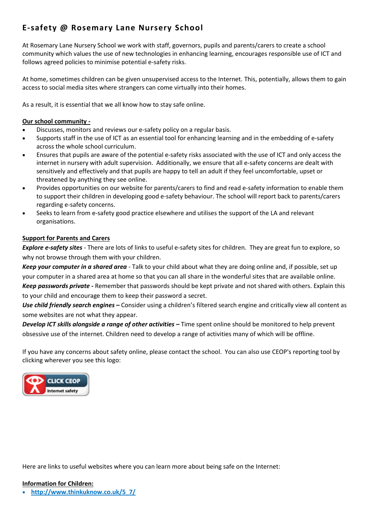# **E-safety @ Rosemary Lane Nursery School**

At Rosemary Lane Nursery School we work with staff, governors, pupils and parents/carers to create a school community which values the use of new technologies in enhancing learning, encourages responsible use of ICT and follows agreed policies to minimise potential e-safety risks.

At home, sometimes children can be given unsupervised access to the Internet. This, potentially, allows them to gain access to social media sites where strangers can come virtually into their homes.

As a result, it is essential that we all know how to stay safe online.

#### **Our school community -**

- Discusses, monitors and reviews our e-safety policy on a regular basis.
- Supports staff in the use of ICT as an essential tool for enhancing learning and in the embedding of e-safety across the whole school curriculum.
- Ensures that pupils are aware of the potential e-safety risks associated with the use of ICT and only access the internet in nursery with adult supervision. Additionally, we ensure that all e-safety concerns are dealt with sensitively and effectively and that pupils are happy to tell an adult if they feel uncomfortable, upset or threatened by anything they see online.
- Provides opportunities on our website for parents/carers to find and read e-safety information to enable them to support their children in developing good e-safety behaviour. The school will report back to parents/carers regarding e-safety concerns.
- Seeks to learn from e-safety good practice elsewhere and utilises the support of the LA and relevant organisations.

### **Support for Parents and Carers**

*Explore e-safety sites* - There are lots of links to useful e-safety sites for children. They are great fun to explore, so why not browse through them with your children.

*Keep your computer in a shared area* - Talk to your child about what they are doing online and, if possible, set up your computer in a shared area at home so that you can all share in the wonderful sites that are available online. *Keep passwords private -* Remember that passwords should be kept private and not shared with others. Explain this to your child and encourage them to keep their password a secret.

*Use child friendly search engines –* Consider using a children's filtered search engine and critically view all content as some websites are not what they appear.

*Develop ICT skills alongside a range of other activities –* Time spent online should be monitored to help prevent obsessive use of the internet. Children need to develop a range of activities many of which will be offline.

If you have any concerns about safety online, please contact the school. You can also use CEOP's reporting tool by clicking wherever you see this logo:



Here are links to useful websites where you can learn more about being safe on the Internet:

#### **Information for Children:**

**[http://www.thinkuknow.co.uk/5\\_7/](http://www.thinkuknow.co.uk/5_7/)**